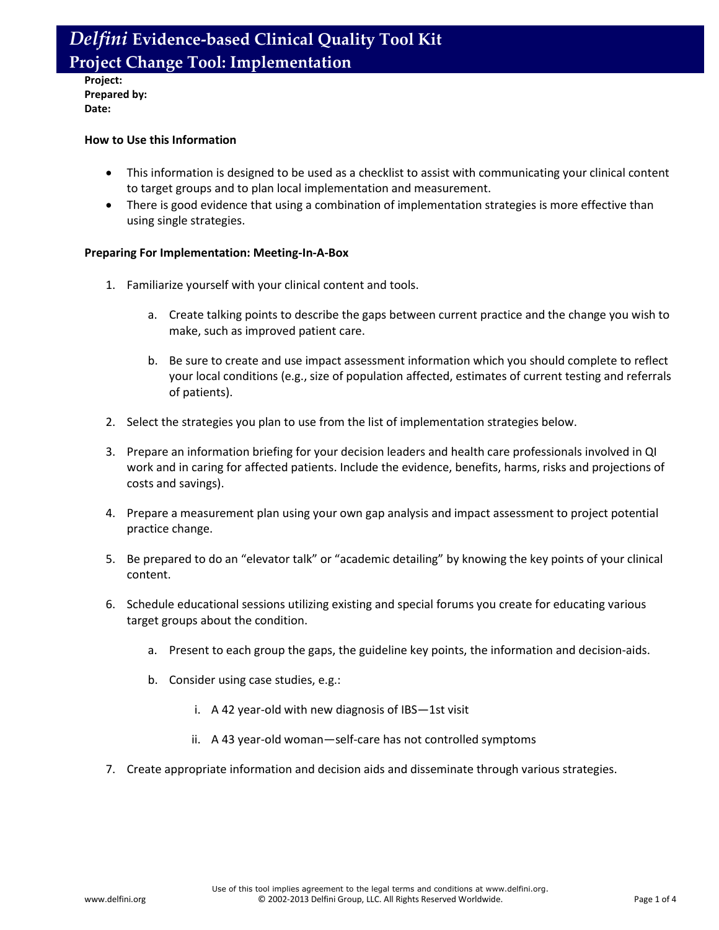**Project: Prepared by: Date:**

#### **How to Use this Information**

- This information is designed to be used as a checklist to assist with communicating your clinical content to target groups and to plan local implementation and measurement.
- There is good evidence that using a combination of implementation strategies is more effective than using single strategies.

#### **Preparing For Implementation: Meeting-In-A-Box**

- 1. Familiarize yourself with your clinical content and tools.
	- a. Create talking points to describe the gaps between current practice and the change you wish to make, such as improved patient care.
	- b. Be sure to create and use impact assessment information which you should complete to reflect your local conditions (e.g., size of population affected, estimates of current testing and referrals of patients).
- 2. Select the strategies you plan to use from the list of implementation strategies below.
- 3. Prepare an information briefing for your decision leaders and health care professionals involved in QI work and in caring for affected patients. Include the evidence, benefits, harms, risks and projections of costs and savings).
- 4. Prepare a measurement plan using your own gap analysis and impact assessment to project potential practice change.
- 5. Be prepared to do an "elevator talk" or "academic detailing" by knowing the key points of your clinical content.
- 6. Schedule educational sessions utilizing existing and special forums you create for educating various target groups about the condition.
	- a. Present to each group the gaps, the guideline key points, the information and decision-aids.
	- b. Consider using case studies, e.g.:
		- i. A 42 year-old with new diagnosis of IBS—1st visit
		- ii. A 43 year-old woman—self-care has not controlled symptoms
- 7. Create appropriate information and decision aids and disseminate through various strategies.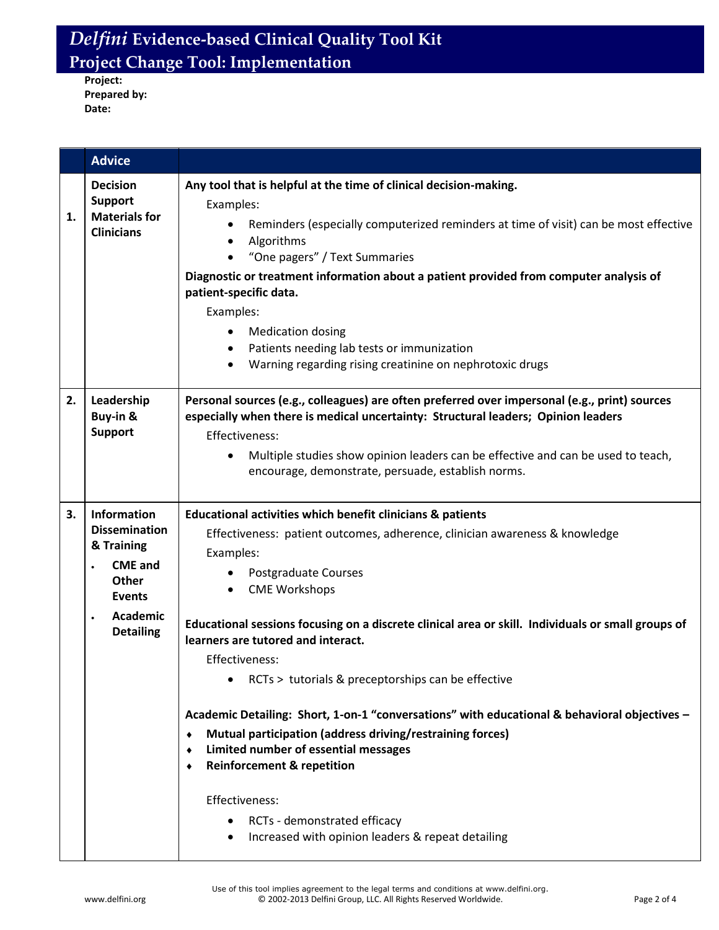**Project: Prepared by: Date:**

|    | <b>Advice</b>                                                                                                                                           |                                                                                                                                                                                                                                                                                                                                                                                                                                                                                                                                                                                                                                                                                                                                                                                                |
|----|---------------------------------------------------------------------------------------------------------------------------------------------------------|------------------------------------------------------------------------------------------------------------------------------------------------------------------------------------------------------------------------------------------------------------------------------------------------------------------------------------------------------------------------------------------------------------------------------------------------------------------------------------------------------------------------------------------------------------------------------------------------------------------------------------------------------------------------------------------------------------------------------------------------------------------------------------------------|
| 1. | <b>Decision</b><br><b>Support</b><br><b>Materials for</b><br><b>Clinicians</b>                                                                          | Any tool that is helpful at the time of clinical decision-making.<br>Examples:<br>Reminders (especially computerized reminders at time of visit) can be most effective<br>Algorithms<br>"One pagers" / Text Summaries<br>Diagnostic or treatment information about a patient provided from computer analysis of<br>patient-specific data.<br>Examples:<br><b>Medication dosing</b><br>$\bullet$<br>Patients needing lab tests or immunization<br>$\bullet$<br>Warning regarding rising creatinine on nephrotoxic drugs                                                                                                                                                                                                                                                                         |
| 2. | Leadership<br>Buy-in &<br><b>Support</b>                                                                                                                | Personal sources (e.g., colleagues) are often preferred over impersonal (e.g., print) sources<br>especially when there is medical uncertainty: Structural leaders; Opinion leaders<br>Effectiveness:<br>Multiple studies show opinion leaders can be effective and can be used to teach,<br>$\bullet$<br>encourage, demonstrate, persuade, establish norms.                                                                                                                                                                                                                                                                                                                                                                                                                                    |
| 3. | Information<br><b>Dissemination</b><br>& Training<br><b>CME and</b><br>$\bullet$<br>Other<br><b>Events</b><br>Academic<br>$\bullet$<br><b>Detailing</b> | Educational activities which benefit clinicians & patients<br>Effectiveness: patient outcomes, adherence, clinician awareness & knowledge<br>Examples:<br>Postgraduate Courses<br><b>CME Workshops</b><br>Educational sessions focusing on a discrete clinical area or skill. Individuals or small groups of<br>learners are tutored and interact.<br>Effectiveness:<br>RCTs > tutorials & preceptorships can be effective<br>Academic Detailing: Short, 1-on-1 "conversations" with educational & behavioral objectives -<br>Mutual participation (address driving/restraining forces)<br>٠<br>Limited number of essential messages<br>٠<br><b>Reinforcement &amp; repetition</b><br>٠<br>Effectiveness:<br>RCTs - demonstrated efficacy<br>Increased with opinion leaders & repeat detailing |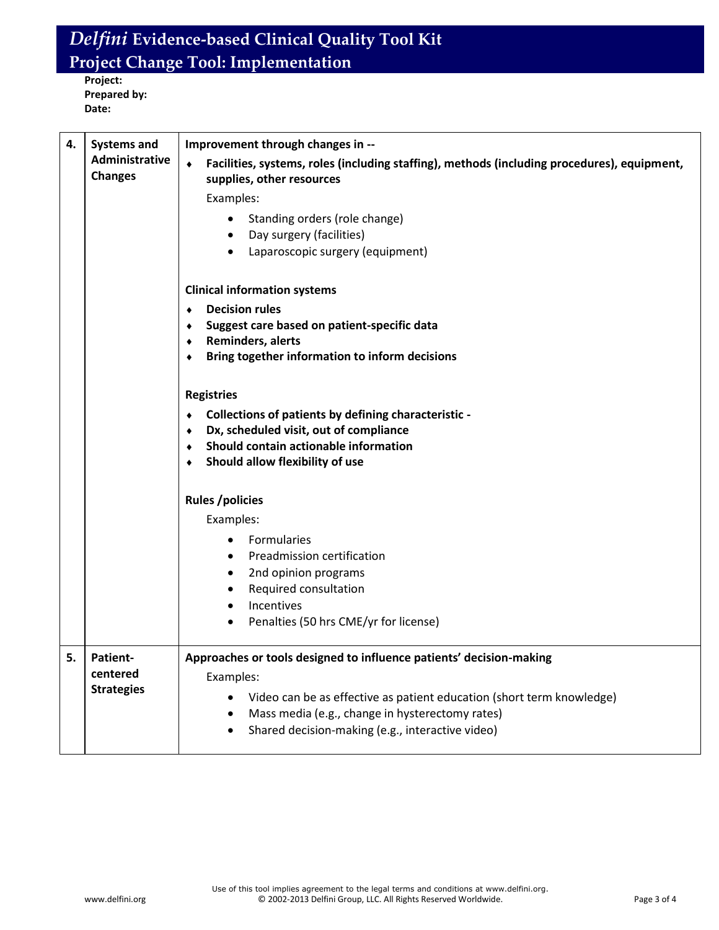**Project: Prepared by: Date:**

| 4. | <b>Systems and</b>               | Improvement through changes in --                                                                                             |
|----|----------------------------------|-------------------------------------------------------------------------------------------------------------------------------|
|    | Administrative<br><b>Changes</b> | Facilities, systems, roles (including staffing), methods (including procedures), equipment,<br>٠<br>supplies, other resources |
|    |                                  | Examples:                                                                                                                     |
|    |                                  | Standing orders (role change)<br>$\bullet$                                                                                    |
|    |                                  | Day surgery (facilities)<br>$\bullet$                                                                                         |
|    |                                  | Laparoscopic surgery (equipment)<br>$\bullet$                                                                                 |
|    |                                  | <b>Clinical information systems</b>                                                                                           |
|    |                                  | <b>Decision rules</b><br>$\bullet$                                                                                            |
|    |                                  | Suggest care based on patient-specific data<br>٠                                                                              |
|    |                                  | Reminders, alerts<br>۰<br>Bring together information to inform decisions<br>٠                                                 |
|    |                                  |                                                                                                                               |
|    |                                  | <b>Registries</b>                                                                                                             |
|    |                                  | Collections of patients by defining characteristic -<br>$\bullet$                                                             |
|    |                                  | Dx, scheduled visit, out of compliance<br>۰                                                                                   |
|    |                                  | Should contain actionable information<br>۰                                                                                    |
|    |                                  | Should allow flexibility of use<br>۰                                                                                          |
|    |                                  | <b>Rules /policies</b>                                                                                                        |
|    |                                  | Examples:                                                                                                                     |
|    |                                  | Formularies<br>$\bullet$                                                                                                      |
|    |                                  | Preadmission certification<br>$\bullet$                                                                                       |
|    |                                  | 2nd opinion programs<br>٠                                                                                                     |
|    |                                  | Required consultation<br>$\bullet$                                                                                            |
|    |                                  | Incentives                                                                                                                    |
|    |                                  | Penalties (50 hrs CME/yr for license)<br>٠                                                                                    |
| 5. | <b>Patient-</b>                  | Approaches or tools designed to influence patients' decision-making                                                           |
|    | centered                         | Examples:                                                                                                                     |
|    | <b>Strategies</b>                | Video can be as effective as patient education (short term knowledge)                                                         |
|    |                                  | Mass media (e.g., change in hysterectomy rates)                                                                               |
|    |                                  | Shared decision-making (e.g., interactive video)                                                                              |